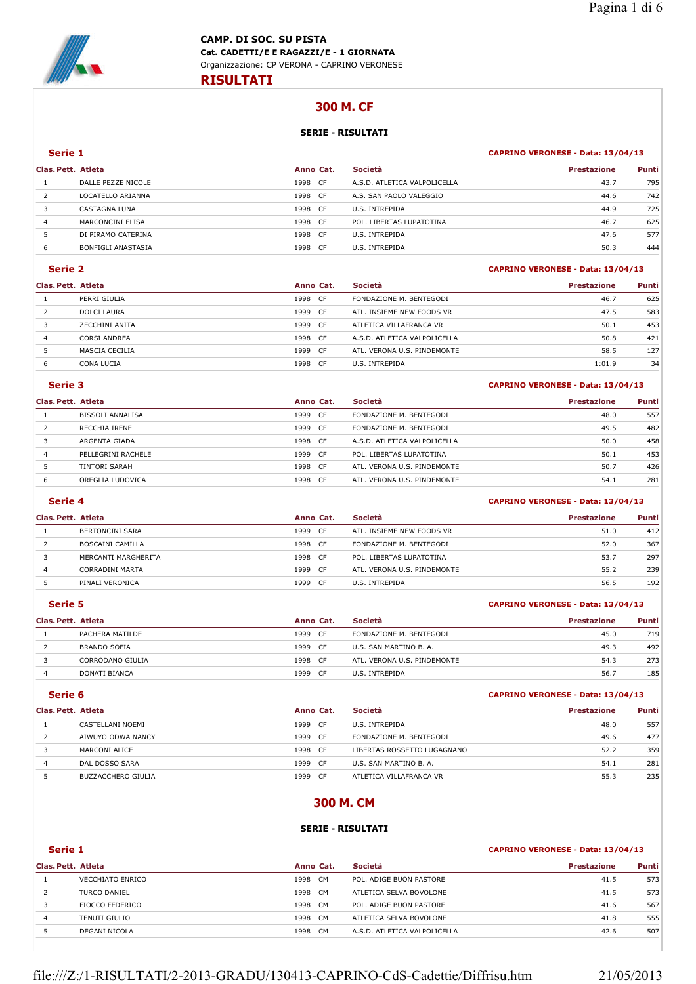

## **300 M. CF**

### **SERIE - RISULTATI**

#### **Serie 1 CAPRINO VERONESE - Data: 13/04/13**

| Clas. Pett. Atleta |                    | Anno Cat.    | Società                      | <b>Prestazione</b> | Punti |
|--------------------|--------------------|--------------|------------------------------|--------------------|-------|
|                    | DALLE PEZZE NICOLE | CF.<br>1998  | A.S.D. ATLETICA VALPOLICELLA | 43.7               | 795   |
|                    | LOCATELLO ARIANNA  | 1998<br>-CF  | A.S. SAN PAOLO VALEGGIO      | 44.6               | 742   |
|                    | CASTAGNA LUNA      | 1998<br>- CF | U.S. INTREPIDA               | 44.9               | 725   |
| 4                  | MARCONCINI ELISA   | 1998<br>- CF | POL. LIBERTAS LUPATOTINA     | 46.7               | 625   |
|                    | DI PIRAMO CATERINA | 1998<br>CF.  | U.S. INTREPIDA               | 47.6               | 577   |
| 6                  | BONFIGLI ANASTASIA | 1998<br>CF   | U.S. INTREPIDA               | 50.3               | 444   |

#### **Serie 2 CAPRINO VERONESE - Data: 13/04/13**

| Clas. Pett. Atleta |                    | Anno Cat. |      | Società                      | <b>Prestazione</b> | Punti |
|--------------------|--------------------|-----------|------|------------------------------|--------------------|-------|
|                    | PERRI GIULIA       | 1998      | CF.  | FONDAZIONE M. BENTEGODI      | 46.7               | 625   |
|                    | <b>DOLCI LAURA</b> | 1999      | CF.  | ATL. INSIEME NEW FOODS VR    | 47.5               | 583   |
|                    | ZECCHINI ANITA     | 1999      | -CF  | ATLETICA VILLAFRANCA VR      | 50.1               | 453   |
| 4                  | CORSI ANDREA       | 1998      | CF.  | A.S.D. ATLETICA VALPOLICELLA | 50.8               | 421   |
|                    | MASCIA CECILIA     | 1999      | - CF | ATL, VERONA U.S. PINDEMONTE  | 58.5               | 127   |
| 6                  | CONA LUCIA         | 1998      | -CF  | U.S. INTREPIDA               | 1:01.9             | 34    |

## **Serie 3 CAPRINO VERONESE - Data: 13/04/13**

| Clas. Pett. Atleta |                      | Anno Cat.    | Società                      | <b>Prestazione</b> | Punti |
|--------------------|----------------------|--------------|------------------------------|--------------------|-------|
|                    | BISSOLI ANNALISA     | 1999<br>-CF  | FONDAZIONE M. BENTEGODI      | 48.0               | 557   |
|                    | RECCHIA IRENE        | 1999 CF      | FONDAZIONE M. BENTEGODI      | 49.5               | 482   |
|                    | ARGENTA GIADA        | 1998<br>CF.  | A.S.D. ATLETICA VALPOLICELLA | 50.0               | 458   |
| 4                  | PELLEGRINI RACHELE   | 1999<br>- CF | POL. LIBERTAS LUPATOTINA     | 50.1               | 453   |
|                    | <b>TINTORI SARAH</b> | 1998<br>- CF | ATL. VERONA U.S. PINDEMONTE  | 50.7               | 426   |
| 6                  | OREGLIA LUDOVICA     | 1998<br>CF   | ATL, VERONA U.S. PINDEMONTE  | 54.1               | 281   |

### **Serie 4 CAPRINO VERONESE - Data: 13/04/13**

| Clas. Pett. Atleta |                        | Anno Cat.    | Società                     | <b>Prestazione</b> | Punti |
|--------------------|------------------------|--------------|-----------------------------|--------------------|-------|
|                    | <b>BERTONCINI SARA</b> | 1999<br>- CF | ATL. INSIEME NEW FOODS VR   | 51.0               | 412   |
|                    | BOSCAINI CAMILLA       | 1998 CF      | FONDAZIONE M. BENTEGODI     | 52.0               | 367   |
|                    | MERCANTI MARGHERITA    | 1998 CF      | POL. LIBERTAS LUPATOTINA    | 53.7               | 297   |
| 4                  | CORRADINI MARTA        | 1999<br>- CF | ATL, VERONA U.S. PINDEMONTE | 55.2               | 239   |
|                    | PINALI VERONICA        | 1999<br>- CF | U.S. INTREPIDA              | 56.5               | 192   |

### **Serie 5 CAPRINO VERONESE - Data: 13/04/13**

| Clas. Pett. Atleta |                     | Anno Cat.   | <b>Società</b>              | <b>Prestazione</b> | <b>Punti</b> |
|--------------------|---------------------|-------------|-----------------------------|--------------------|--------------|
|                    | PACHERA MATILDE     | 1999<br>CF  | FONDAZIONE M. BENTEGODI     | 45.0               | 719          |
|                    | <b>BRANDO SOFIA</b> | 1999<br>CF. | U.S. SAN MARTINO B. A.      | 49.3               | 492          |
|                    | CORRODANO GIULIA    | 1998<br>CF. | ATL. VERONA U.S. PINDEMONTE | 54.3               | 273          |
|                    | DONATI BIANCA       | 1999<br>CF  | U.S. INTREPIDA              | 56.7               | 185          |

|                    | Serie 6                   |           |      |                             | CAPRINO VERONESE - Data: 13/04/13 |       |  |
|--------------------|---------------------------|-----------|------|-----------------------------|-----------------------------------|-------|--|
| Clas. Pett. Atleta |                           | Anno Cat. |      | Società                     | <b>Prestazione</b>                | Punti |  |
|                    | CASTELLANI NOEMI          | 1999      | - CF | U.S. INTREPIDA              | 48.0                              | 557   |  |
|                    | AIWUYO ODWA NANCY         | 1999      | - CF | FONDAZIONE M. BENTEGODI     | 49.6                              | 477   |  |
|                    | MARCONI ALICE             | 1998 CF   |      | LIBERTAS ROSSETTO LUGAGNANO | 52.2                              | 359   |  |
| 4                  | DAL DOSSO SARA            | 1999      | - CF | U.S. SAN MARTINO B. A.      | 54.1                              | 281   |  |
|                    | <b>BUZZACCHERO GIULIA</b> | 1999      | CF.  | ATLETICA VILLAFRANCA VR     | 55.3                              | 235   |  |

### **300 M. CM**

### **SERIE - RISULTATI**

| Serie 1            |                         |                   |                              | CAPRINO VERONESE - Data: 13/04/13 |       |  |  |
|--------------------|-------------------------|-------------------|------------------------------|-----------------------------------|-------|--|--|
| Clas. Pett. Atleta |                         | Anno Cat.         | <b>Società</b>               | <b>Prestazione</b>                | Punti |  |  |
|                    | <b>VECCHIATO ENRICO</b> | 1998 CM           | POL. ADIGE BUON PASTORE      | 41.5                              | 573   |  |  |
|                    | TURCO DANIEL            | 1998 CM           | ATLETICA SELVA BOVOLONE      | 41.5                              | 573   |  |  |
|                    | FIOCCO FEDERICO         | 1998 CM           | POL. ADIGE BUON PASTORE      | 41.6                              | 567   |  |  |
| 4                  | TENUTI GIULIO           | 1998 CM           | ATLETICA SELVA BOVOLONE      | 41.8                              | 555   |  |  |
|                    | DEGANI NICOLA           | 1998<br><b>CM</b> | A.S.D. ATLETICA VALPOLICELLA | 42.6                              | 507   |  |  |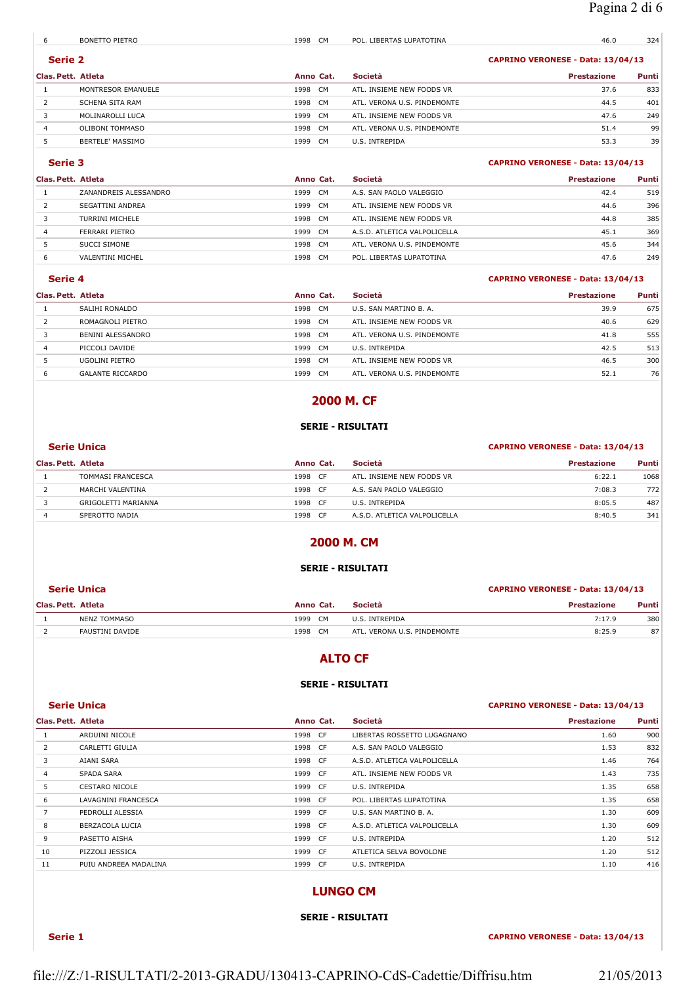| 6                  | <b>BONETTO PIETRO</b> | 1998    | CM.       | POL. LIBERTAS LUPATOTINA          | 46.0               | 324   |
|--------------------|-----------------------|---------|-----------|-----------------------------------|--------------------|-------|
|                    | Serie 2               |         |           | CAPRINO VERONESE - Data: 13/04/13 |                    |       |
| Clas. Pett. Atleta |                       |         | Anno Cat. | <b>Società</b>                    | <b>Prestazione</b> | Punti |
|                    | MONTRESOR EMANUELE    | 1998 CM |           | ATL. INSIEME NEW FOODS VR         | 37.6               | 833   |
|                    | SCHENA SITA RAM       | 1998 CM |           | ATL. VERONA U.S. PINDEMONTE       | 44.5               | 401   |
|                    | MOLINAROLLI LUCA      | 1999    | <b>CM</b> | ATL. INSIEME NEW FOODS VR         | 47.6               | 249   |
| 4                  | OLIBONI TOMMASO       | 1998 CM |           | ATL. VERONA U.S. PINDEMONTE       | 51.4               | 99    |
|                    | BERTELE' MASSIMO      | 1999    | CM        | U.S. INTREPIDA                    | 53.3               | 39    |

## **Serie 3 CAPRINO VERONESE - Data: 13/04/13**

| Società<br>Clas. Pett. Atleta<br>Anno Cat.                         | <b>Prestazione</b> | <b>Punti</b> |
|--------------------------------------------------------------------|--------------------|--------------|
| ZANANDREIS ALESSANDRO<br>CM.<br>A.S. SAN PAOLO VALEGGIO<br>1999    | 42.4               | 519          |
| SEGATTINI ANDREA<br>CM.<br>ATL. INSIEME NEW FOODS VR<br>1999       | 44.6               | 396          |
| CM.<br>TURRINI MICHELE<br>1998<br>ATL. INSIEME NEW FOODS VR        | 44.8               | 385          |
| CM.<br>FERRARI PIETRO<br>1999<br>A.S.D. ATLETICA VALPOLICELLA<br>4 | 45.1               | 369          |
| CM<br>SUCCI SIMONE<br>1998<br>ATL. VERONA U.S. PINDEMONTE          | 45.6               | 344          |
| CM.<br>VALENTINI MICHEL<br>1998<br>POL. LIBERTAS LUPATOTINA<br>6   | 47.6               | 249          |

#### **Serie 4 CAPRINO VERONESE - Data: 13/04/13**

| Clas. Pett. Atleta |                         | Anno Cat. |           | <b>Società</b>              | <b>Prestazione</b> | Punti |
|--------------------|-------------------------|-----------|-----------|-----------------------------|--------------------|-------|
|                    | SALIHI RONALDO          | 1998 CM   |           | U.S. SAN MARTINO B. A.      | 39.9               | 675   |
|                    | ROMAGNOLI PIETRO        | 1998 CM   |           | ATL. INSIEME NEW FOODS VR   | 40.6               | 629   |
|                    | BENINI ALESSANDRO       | 1998 CM   |           | ATL. VERONA U.S. PINDEMONTE | 41.8               | 555   |
|                    | PICCOLI DAVIDE          | 1999      | CM        | U.S. INTREPIDA              | 42.5               | 513   |
|                    | UGOLINI PIETRO          | 1998      | <b>CM</b> | ATL. INSIEME NEW FOODS VR   | 46.5               | 300   |
|                    | <b>GALANTE RICCARDO</b> | 1999      | CM.       | ATL, VERONA U.S. PINDEMONTE | 52.1               | 76    |

## **2000 M. CF**

### **SERIE - RISULTATI**

## **Serie Unica CAPRINO VERONESE - Data: 13/04/13**

| Clas. Pett. Atleta |                     | Anno Cat.   | Società                      | <b>Prestazione</b> | Punti |
|--------------------|---------------------|-------------|------------------------------|--------------------|-------|
|                    | TOMMASI FRANCESCA   | 1998<br>CF  | ATL. INSIEME NEW FOODS VR    | 6:22.1             | 1068  |
|                    | MARCHI VALENTINA    | 1998<br>CF. | A.S. SAN PAOLO VALEGGIO      | 7:08.3             | 772   |
|                    | GRIGOLETTI MARIANNA | 1998<br>CF  | U.S. INTREPIDA               | 8:05.5             | 487   |
|                    | SPEROTTO NADIA      | 1998<br>CF  | A.S.D. ATLETICA VALPOLICELLA | 8:40.5             | 341   |

# **2000 M. CM**

## **SERIE - RISULTATI**

#### **Serie Unica CAPRINO VERONESE - Data: 13/04/13**

| Clas. Pett. Atleta |                     | Anno Cat. |     | <b>Società</b>              | <b>Prestazione</b> | <b>Punti</b> |
|--------------------|---------------------|-----------|-----|-----------------------------|--------------------|--------------|
|                    | <b>NENZ TOMMASO</b> | 1999      | CM. | U.S. INTREPIDA              | 7:17.9             | 380          |
|                    | FAUSTINI DAVIDE     | 1998      | CM. | ATL. VERONA U.S. PINDEMONTE | 8:25.9             | 87           |

## **ALTO CF**

## **SERIE - RISULTATI**

#### **Serie Unica CAPRINO VERONESE - Data: 13/04/13**

| Clas. Pett. Atleta |                       | Anno Cat. | Società                      | <b>Prestazione</b> | Punti |
|--------------------|-----------------------|-----------|------------------------------|--------------------|-------|
|                    | ARDUINI NICOLE        | 1998 CF   | LIBERTAS ROSSETTO LUGAGNANO  | 1.60               | 900   |
| 2                  | CARLETTI GIULIA       | 1998 CF   | A.S. SAN PAOLO VALEGGIO      | 1.53               | 832   |
| 3                  | AIANI SARA            | 1998 CF   | A.S.D. ATLETICA VALPOLICELLA | 1.46               | 764   |
| $\overline{4}$     | <b>SPADA SARA</b>     | 1999 CF   | ATL. INSIEME NEW FOODS VR    | 1.43               | 735   |
| 5                  | <b>CESTARO NICOLE</b> | 1999 CF   | U.S. INTREPIDA               | 1.35               | 658   |
| 6                  | LAVAGNINI FRANCESCA   | 1998 CF   | POL. LIBERTAS LUPATOTINA     | 1.35               | 658   |
| $\overline{7}$     | PEDROLLI ALESSIA      | 1999 CF   | U.S. SAN MARTINO B. A.       | 1.30               | 609   |
| 8                  | BERZACOLA LUCIA       | 1998 CF   | A.S.D. ATLETICA VALPOLICELLA | 1.30               | 609   |
| 9                  | PASETTO AISHA         | 1999 CF   | U.S. INTREPIDA               | 1.20               | 512   |
| 10                 | PIZZOLI JESSICA       | 1999 CF   | ATLETICA SELVA BOVOLONE      | 1.20               | 512   |
| 11                 | PUIU ANDREEA MADALINA | 1999 CF   | U.S. INTREPIDA               | 1.10               | 416   |

## **LUNGO CM**

### **SERIE - RISULTATI**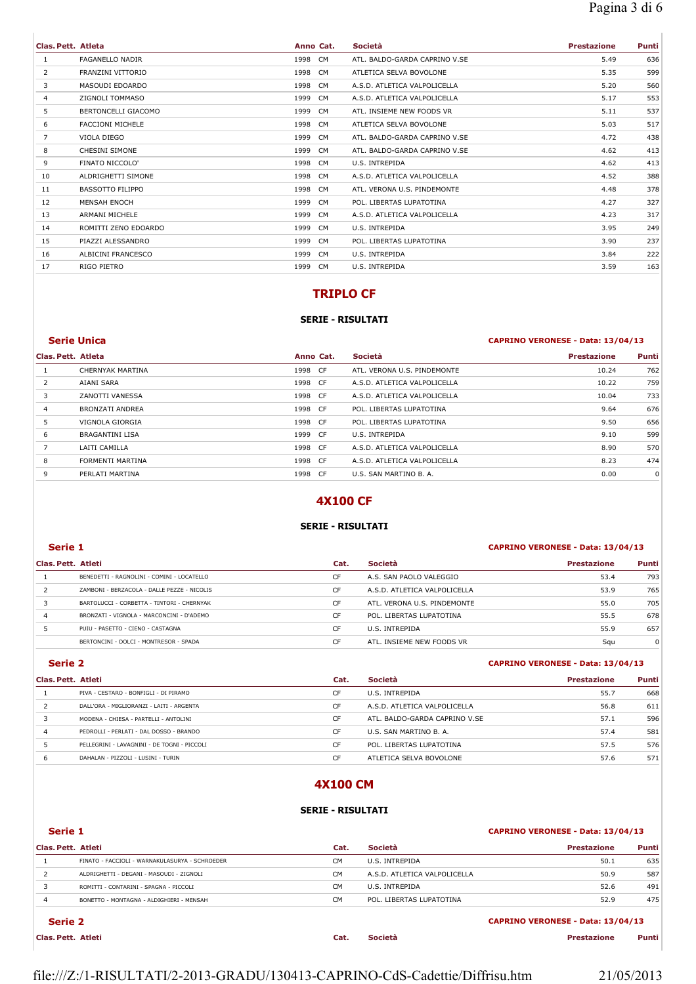| Clas. Pett. Atleta |                         |         | Anno Cat. | Società                       | <b>Prestazione</b> | Punti |
|--------------------|-------------------------|---------|-----------|-------------------------------|--------------------|-------|
| 1                  | <b>FAGANELLO NADIR</b>  | 1998 CM |           | ATL. BALDO-GARDA CAPRINO V.SE | 5.49               | 636   |
| 2                  | FRANZINI VITTORIO       | 1998 CM |           | ATLETICA SELVA BOVOLONE       | 5.35               | 599   |
| 3                  | MASOUDI EDOARDO         | 1998 CM |           | A.S.D. ATLETICA VALPOLICELLA  | 5.20               | 560   |
| 4                  | ZIGNOLI TOMMASO         | 1999 CM |           | A.S.D. ATLETICA VALPOLICELLA  | 5.17               | 553   |
| 5                  | BERTONCELLI GIACOMO     | 1999 CM |           | ATL. INSIEME NEW FOODS VR     | 5.11               | 537   |
| 6                  | <b>FACCIONI MICHELE</b> | 1998 CM |           | ATLETICA SELVA BOVOLONE       | 5.03               | 517   |
| 7                  | VIOLA DIEGO             | 1999 CM |           | ATL. BALDO-GARDA CAPRINO V.SE | 4.72               | 438   |
| 8                  | <b>CHESINI SIMONE</b>   | 1999 CM |           | ATL. BALDO-GARDA CAPRINO V.SE | 4.62               | 413   |
| 9                  | FINATO NICCOLO'         | 1998 CM |           | U.S. INTREPIDA                | 4.62               | 413   |
| 10                 | ALDRIGHETTI SIMONE      | 1998 CM |           | A.S.D. ATLETICA VALPOLICELLA  | 4.52               | 388   |
| 11                 | <b>BASSOTTO FILIPPO</b> | 1998 CM |           | ATL. VERONA U.S. PINDEMONTE   | 4.48               | 378   |
| 12                 | <b>MENSAH ENOCH</b>     | 1999 CM |           | POL. LIBERTAS LUPATOTINA      | 4.27               | 327   |
| 13                 | ARMANI MICHELE          | 1999 CM |           | A.S.D. ATLETICA VALPOLICELLA  | 4.23               | 317   |
| 14                 | ROMITTI ZENO EDOARDO    | 1999 CM |           | U.S. INTREPIDA                | 3.95               | 249   |
| 15                 | PIAZZI ALESSANDRO       | 1999 CM |           | POL. LIBERTAS LUPATOTINA      | 3.90               | 237   |
| 16                 | ALBICINI FRANCESCO      | 1999 CM |           | U.S. INTREPIDA                | 3.84               | 222   |
| 17                 | RIGO PIETRO             | 1999 CM |           | U.S. INTREPIDA                | 3.59               | 163   |

# **TRIPLO CF**

## **SERIE - RISULTATI**

## **Serie Unica CAPRINO VERONESE - Data: 13/04/13**

| Clas. Pett. Atleta |                         | Anno Cat. | Società                      | <b>Prestazione</b> | Punti |
|--------------------|-------------------------|-----------|------------------------------|--------------------|-------|
|                    | <b>CHERNYAK MARTINA</b> | 1998 CF   | ATL, VERONA U.S. PINDEMONTE  | 10.24              | 762   |
| $\overline{2}$     | AIANI SARA              | 1998 CF   | A.S.D. ATLETICA VALPOLICELLA | 10.22              | 759   |
| 3                  | ZANOTTI VANESSA         | 1998 CF   | A.S.D. ATLETICA VALPOLICELLA | 10.04              | 733   |
| $\overline{4}$     | <b>BRONZATI ANDREA</b>  | 1998 CF   | POL. LIBERTAS LUPATOTINA     | 9.64               | 676   |
| 5.                 | VIGNOLA GIORGIA         | 1998 CF   | POL. LIBERTAS LUPATOTINA     | 9.50               | 656   |
| 6                  | <b>BRAGANTINI LISA</b>  | 1999 CF   | U.S. INTREPIDA               | 9.10               | 599   |
|                    | LAITI CAMILLA           | 1998 CF   | A.S.D. ATLETICA VALPOLICELLA | 8.90               | 570   |
| 8                  | FORMENTI MARTINA        | 1998 CF   | A.S.D. ATLETICA VALPOLICELLA | 8.23               | 474   |
| 9                  | PERLATI MARTINA         | 1998 CF   | U.S. SAN MARTINO B. A.       | 0.00               | 0     |

## **4X100 CF**

### **SERIE - RISULTATI**

### **Serie 1 CAPRINO VERONESE - Data: 13/04/13**

## **Clas. Pett. Atleti Cat. Società Prestazione Punti** BENEDETTI - RAGNOLINI - COMINI - LOCATELLO CF A.S. SAN PAOLO VALEGGIO 53.4 793 ZAMBONI - BERZACOLA - DALLE PEZZE - NICOLIS CF A.S.D. ATLETICA VALPOLICELLA 53.9 765 BARTOLUCCI - CORBETTA - TINTORI - CHERNYAK CF ATL. VERONA U.S. PINDEMONTE 55.0 705 BRONZATI - VIGNOLA - MARCONCINI - D'ADEMO CF POL. LIBERTAS LUPATOTINA 55.5 678 **PUIU - PASETTO - CIENO - CASTAGNA** CF U.S. INTREPIDA CF U.S. INTREPIDA 55.9 657 BERTONCINI - DOLCI - MONTRESOR - SPADA CF ATL. INSIEME NEW FOODS VR Squ 3 Gqu 0

#### **Serie 2 CAPRINO VERONESE - Data: 13/04/13**

| Clas. Pett. Atleti |                                             | Cat. | <b>Società</b>                | <b>Prestazione</b> | Punti |
|--------------------|---------------------------------------------|------|-------------------------------|--------------------|-------|
|                    | PIVA - CESTARO - BONFIGLI - DI PIRAMO       | CF   | U.S. INTREPIDA                | 55.7               | 668   |
|                    | DALL'ORA - MIGLIORANZI - LAITI - ARGENTA    | CF   | A.S.D. ATLETICA VALPOLICELLA  | 56.8               | 611   |
|                    | MODENA - CHIESA - PARTELLI - ANTOLINI       | CF   | ATL. BALDO-GARDA CAPRINO V.SE | 57.1               | 596   |
|                    | PEDROLLI - PERLATI - DAL DOSSO - BRANDO     | CF   | U.S. SAN MARTINO B. A.        | 57.4               | 581   |
|                    | PELLEGRINI - LAVAGNINI - DE TOGNI - PICCOLI | CF   | POL. LIBERTAS LUPATOTINA      | 57.5               | 576   |
|                    | DAHALAN - PIZZOLI - LUSINI - TURIN          | CF   | ATLETICA SELVA BOVOLONE       | 57.6               | 571   |

## **4X100 CM**

### **SERIE - RISULTATI**

|                    | Serie 1                                        |           |                              | CAPRINO VERONESE - Data: 13/04/13 |       |
|--------------------|------------------------------------------------|-----------|------------------------------|-----------------------------------|-------|
| Clas. Pett. Atleti |                                                | Cat.      | Società                      | <b>Prestazione</b>                | Punti |
|                    | FINATO - FACCIOLI - WARNAKULASURYA - SCHROEDER | CМ        | U.S. INTREPIDA               | 50.1                              | 635   |
|                    | ALDRIGHETTI - DEGANI - MASOUDI - ZIGNOLI       | CM.       | A.S.D. ATLETICA VALPOLICELLA | 50.9                              | 587   |
|                    | ROMITTI - CONTARINI - SPAGNA - PICCOLI         | CM.       | U.S. INTREPIDA               | 52.6                              | 491   |
|                    | BONETTO - MONTAGNA - ALDIGHIERI - MENSAH       | <b>CM</b> | POL. LIBERTAS LUPATOTINA     | 52.9                              | 475   |
|                    |                                                |           |                              |                                   |       |

## **Serie 2 CAPRINO VERONESE - Data: 13/04/13**

**Clas. Pett. Atleti Cat. Società Prestazione Punti**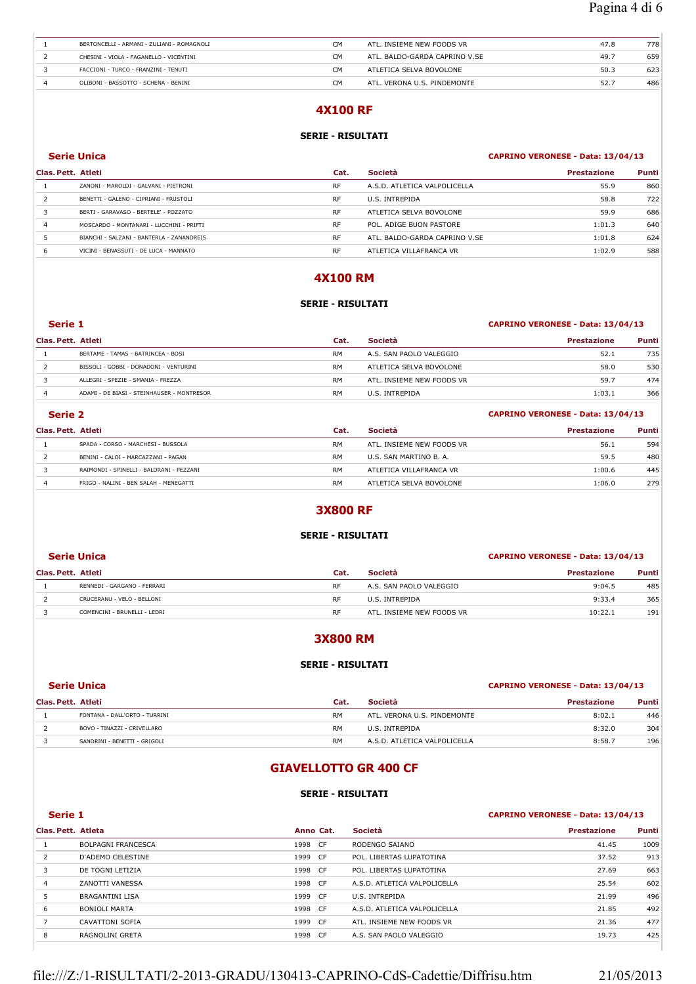| BERTONCELLI - ARMANI - ZULIANI - ROMAGNOLI | CМ | ATL. INSIEME NEW FOODS VR     | 47.8 | 778 |
|--------------------------------------------|----|-------------------------------|------|-----|
| CHESINI - VIOLA - FAGANELLO - VICENTINI    | CМ | ATL. BALDO-GARDA CAPRINO V.SE | 49.7 | 659 |
| FACCIONI - TURCO - FRANZINI - TENUTI       | CМ | ATLETICA SELVA BOVOLONE       | 50.3 | 623 |
| OLIBONI - BASSOTTO - SCHENA - BENINI       | CM | ATL. VERONA U.S. PINDEMONTE   | 52.7 | 486 |

## **4X100 RF**

## **SERIE - RISULTATI**

**Serie Unica CAPRINO VERONESE - Data: 13/04/13** 

|                                           | Cat.               | <b>Società</b>                | <b>Prestazione</b> | Punti |
|-------------------------------------------|--------------------|-------------------------------|--------------------|-------|
| ZANONI - MAROLDI - GALVANI - PIETRONI     | <b>RF</b>          | A.S.D. ATLETICA VALPOLICELLA  | 55.9               | 860   |
| BENETTI - GALENO - CIPRIANI - FRUSTOLI    | <b>RF</b>          | U.S. INTREPIDA                | 58.8               | 722   |
| BERTI - GARAVASO - BERTELE' - POZZATO     | <b>RF</b>          | ATLETICA SELVA BOVOLONE       | 59.9               | 686   |
| MOSCARDO - MONTANARI - LUCCHINI - PRIFTI  | <b>RF</b>          | POL. ADIGE BUON PASTORE       | 1:01.3             | 640   |
| BIANCHI - SALZANI - BANTERLA - ZANANDREIS | <b>RF</b>          | ATL. BALDO-GARDA CAPRINO V.SE | 1:01.8             | 624   |
| VICINI - BENASSUTI - DE LUCA - MANNATO    | <b>RF</b>          | ATLETICA VILLAFRANCA VR       | 1:02.9             | 588   |
|                                           | Clas. Pett. Atleti |                               |                    |       |

## **4X100 RM**

# **SERIE - RISULTATI Serie 1 CAPRINO VERONESE - Data: 13/04/13**

## **Clas. Pett. Atleti Cat. Società Prestazione Punti** 1 BERTAME - TAMAS - BATRINCEA - BOSI **RM** A.S. SAN PAOLO VALEGGIO 52.1 735 2 BISSOLI - GOBBI - DONADONI - VENTURINI RM ATLETICA SELVA BOVOLONE 58.0 530 3 ALLEGRI - SPEZIE - SMANIA - FREZZA RM ATL. INSIEME NEW FOODS VR 59.7 474 4 ADAMI - DE BIASI - STEINHAUSER - MONTRESOR RM U.S. INTREPIDA 1:03.1 366

## **Serie 2 CAPRINO VERONESE - Data: 13/04/13**

| Clas. Pett. Atleti |                                          | Cat.      | <b>Società</b>            | <b>Prestazione</b> | Punti |
|--------------------|------------------------------------------|-----------|---------------------------|--------------------|-------|
|                    | SPADA - CORSO - MARCHESI - BUSSOLA       | <b>RM</b> | ATL. INSIEME NEW FOODS VR | 56.1               | 594   |
|                    | BENINI - CALOI - MARCAZZANI - PAGAN      | <b>RM</b> | U.S. SAN MARTINO B. A.    | 59.5               | 480   |
|                    | RAIMONDI - SPINELLI - BALDRANI - PEZZANI | <b>RM</b> | ATLETICA VILLAFRANCA VR   | 1:00.6             | 445   |
|                    | FRIGO - NALINI - BEN SALAH - MENEGATTI   | <b>RM</b> | ATLETICA SELVA BOVOLONE   | 1:06.0             | 279   |

## **3X800 RF**

### **SERIE - RISULTATI**

#### **Serie Unica CAPRINO VERONESE - Data: 13/04/13**

| Clas. Pett. Atleti |                              | Cat.      | <b>Società</b>            | <b>Prestazione</b> | Punti |
|--------------------|------------------------------|-----------|---------------------------|--------------------|-------|
|                    | RENNEDI - GARGANO - FERRARI  | RF        | A.S. SAN PAOLO VALEGGIO   | 9:04.5             | 485   |
|                    | CRUCERANU - VELO - BELLONI   | RF        | U.S. INTREPIDA            | 9:33.4             | 365   |
|                    | COMENCINI - BRUNELLI - LEDRI | <b>RF</b> | ATL. INSIEME NEW FOODS VR | 10:22.1            | 191   |

## **3X800 RM**

#### **SERIE - RISULTATI**

### **Serie Unica CAPRINO VERONESE - Data: 13/04/13**

| Clas. Pett. Atleti |                               | Cat.      | Società                      | <b>Prestazione</b> | Punti |
|--------------------|-------------------------------|-----------|------------------------------|--------------------|-------|
|                    | FONTANA - DALL'ORTO - TURRINI | <b>RM</b> | ATL. VERONA U.S. PINDEMONTE  | 8:02.1             | 446   |
|                    | BOVO - TINAZZI - CRIVELLARO   | <b>RM</b> | U.S. INTREPIDA               | 8:32.0             | 304   |
|                    | SANDRINI - BENETTI - GRIGOLI  | <b>RM</b> | A.S.D. ATLETICA VALPOLICELLA | 8:58.7             | 196   |

## **GIAVELLOTTO GR 400 CF**

#### **SERIE - RISULTATI**

## **Serie 1 CAPRINO VERONESE - Data: 13/04/13**

| Clas. Pett. Atleta |                           | Anno Cat. |      | Società                      | <b>Prestazione</b> | Punti |
|--------------------|---------------------------|-----------|------|------------------------------|--------------------|-------|
|                    | <b>BOLPAGNI FRANCESCA</b> | 1998      | - CF | RODENGO SAIANO               | 41.45              | 1009  |
| $\overline{2}$     | D'ADEMO CELESTINE         | 1999      | CF   | POL. LIBERTAS LUPATOTINA     | 37.52              | 913   |
| 3                  | DE TOGNI LETIZIA          | 1998      | CF.  | POL. LIBERTAS LUPATOTINA     | 27.69              | 663   |
| $\overline{4}$     | ZANOTTI VANESSA           | 1998      | CF.  | A.S.D. ATLETICA VALPOLICELLA | 25.54              | 602   |
| 5                  | <b>BRAGANTINI LISA</b>    | 1999      | CF.  | U.S. INTREPIDA               | 21.99              | 496   |
| 6                  | BONIOLI MARTA             | 1998      | CF.  | A.S.D. ATLETICA VALPOLICELLA | 21.85              | 492   |
|                    | CAVATTONI SOFIA           | 1999 CF   |      | ATL. INSIEME NEW FOODS VR    | 21.36              | 477   |
| 8                  | RAGNOLINI GRETA           | 1998      | CF.  | A.S. SAN PAOLO VALEGGIO      | 19.73              | 425   |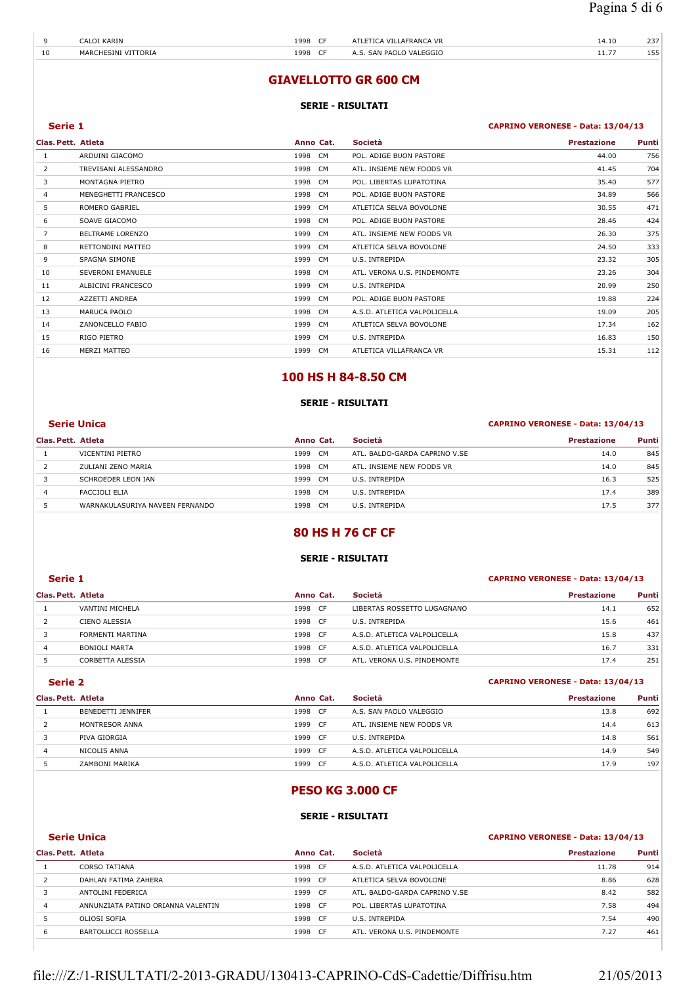| $\Omega$ | .AIP<br>the contract of the contract of the contract of the contract of the contract of | 1998<br>. | $\sim$ | VR<br>$\mathbf{1}$                                  | 14.IU       | $\sim$ $\sim$ $\sim$<br><u>. .</u> |
|----------|-----------------------------------------------------------------------------------------|-----------|--------|-----------------------------------------------------|-------------|------------------------------------|
| 10       | MAR<br>JR L                                                                             | 1998<br>. |        | $\mathbf{V}$<br>'DA∩I.<br>⊂∧≀<br>∼เรเรนเล<br>-<br>. | <b>LL./</b> | $ -$                               |

## **GIAVELLOTTO GR 600 CM**

#### **SERIE - RISULTATI**

### **Serie 1 CAPRINO VERONESE - Data: 13/04/13**

| Clas. Pett. Atleta |                         |      | Anno Cat. | Società                      | <b>Prestazione</b> | Punti |
|--------------------|-------------------------|------|-----------|------------------------------|--------------------|-------|
| 1                  | ARDUINI GIACOMO         | 1998 | CM        | POL. ADIGE BUON PASTORE      | 44.00              | 756   |
| 2                  | TREVISANI ALESSANDRO    | 1998 | <b>CM</b> | ATL. INSIEME NEW FOODS VR    | 41.45              | 704   |
| 3                  | MONTAGNA PIETRO         | 1998 | CM        | POL. LIBERTAS LUPATOTINA     | 35.40              | 577   |
| 4                  | MENEGHETTI FRANCESCO    | 1998 | CM        | POL. ADIGE BUON PASTORE      | 34.89              | 566   |
| 5                  | <b>ROMERO GABRIEL</b>   | 1999 | <b>CM</b> | ATLETICA SELVA BOVOLONE      | 30.55              | 471   |
| 6                  | SOAVE GIACOMO           | 1998 | CM        | POL. ADIGE BUON PASTORE      | 28.46              | 424   |
| 7                  | <b>BELTRAME LORENZO</b> | 1999 | <b>CM</b> | ATL. INSIEME NEW FOODS VR    | 26.30              | 375   |
| 8                  | RETTONDINI MATTEO       | 1999 | <b>CM</b> | ATLETICA SELVA BOVOLONE      | 24.50              | 333   |
| 9                  | SPAGNA SIMONE           | 1999 | <b>CM</b> | U.S. INTREPIDA               | 23.32              | 305   |
| 10                 | SEVERONI EMANUELE       | 1998 | CM        | ATL. VERONA U.S. PINDEMONTE  | 23.26              | 304   |
| 11                 | ALBICINI FRANCESCO      | 1999 | CM        | U.S. INTREPIDA               | 20.99              | 250   |
| 12                 | AZZETTI ANDREA          | 1999 | <b>CM</b> | POL. ADIGE BUON PASTORE      | 19.88              | 224   |
| 13                 | MARUCA PAOLO            | 1998 | <b>CM</b> | A.S.D. ATLETICA VALPOLICELLA | 19.09              | 205   |
| 14                 | ZANONCELLO FABIO        | 1999 | <b>CM</b> | ATLETICA SELVA BOVOLONE      | 17.34              | 162   |
| 15                 | RIGO PIETRO             | 1999 | <b>CM</b> | U.S. INTREPIDA               | 16.83              | 150   |
| 16                 | MERZI MATTEO            | 1999 | <b>CM</b> | ATLETICA VILLAFRANCA VR      | 15.31              | 112   |
|                    |                         |      |           |                              |                    |       |

## **100 HS H 84-8.50 CM**

## **SERIE - RISULTATI**

## **Serie Unica CAPRINO VERONESE - Data: 13/04/13**

| Clas. Pett. Atleta |                                 | Anno Cat.    | <b>Società</b>                | <b>Prestazione</b> | Punti |
|--------------------|---------------------------------|--------------|-------------------------------|--------------------|-------|
|                    | VICENTINI PIETRO                | 1999<br>- CM | ATL. BALDO-GARDA CAPRINO V.SE | 14.0               | 845   |
|                    | ZULIANI ZENO MARIA              | 1998 CM      | ATL. INSIEME NEW FOODS VR     | 14.0               | 845   |
|                    | SCHROEDER LEON IAN              | 1999 CM      | U.S. INTREPIDA                | 16.3               | 525   |
|                    | FACCIOLI ELIA                   | 1998<br>CM   | U.S. INTREPIDA                | 17.4               | 389   |
|                    | WARNAKULASURIYA NAVEEN FERNANDO | 1998<br>CM.  | U.S. INTREPIDA                | 17.5               | 377   |

## **80 HS H 76 CF CF**

## **SERIE - RISULTATI**

#### **Serie 1 CAPRINO VERONESE - Data: 13/04/13**

### **Clas. Pett. Atleta Anno Cat. Società Prestazione Punti** 1 VANTINI MICHELA 1998 CF LIBERTAS ROSSETTO LUGAGNANO 14.1 652 CIENO ALESSIA 1998 CF U.S. INTREPIDA 15.6 461 3 FORMENTI MARTINA 1998 CF A.S.D. ATLETICA VALPOLICELLA 15.8 437 4 BONIOLI MARTA 1998 CF A.S.D. ATLETICA VALPOLICELLA 16.7 331 CORBETTA ALESSIA 1998 CF ATL. VERONA U.S. PINDEMONTE 17.4 251

#### **Serie 2 CAPRINO VERONESE - Data: 13/04/13**

| Clas. Pett. Atleta |                    | Anno Cat.   | Società                      | <b>Prestazione</b> | <b>Punti</b> |
|--------------------|--------------------|-------------|------------------------------|--------------------|--------------|
|                    | BENEDETTI JENNIFER | 1998<br>CF. | A.S. SAN PAOLO VALEGGIO      | 13.8               | 692          |
|                    | MONTRESOR ANNA     | 1999<br>CF. | ATL. INSIEME NEW FOODS VR    | 14.4               | 613          |
|                    | PIVA GIORGIA       | 1999<br>CF. | U.S. INTREPIDA               | 14.8               | 561          |
| 4                  | NICOLIS ANNA       | 1999<br>CF. | A.S.D. ATLETICA VALPOLICELLA | 14.9               | 549          |
|                    | ZAMBONI MARIKA     | 1999<br>CF. | A.S.D. ATLETICA VALPOLICELLA | 17.9               | 197          |

# **PESO KG 3.000 CF**

#### **SERIE - RISULTATI**

## **Serie Unica CAPRINO VERONESE - Data: 13/04/13**

| Clas. Pett. Atleta |                                    | Anno Cat. |           | <b>Società</b>                | <b>Prestazione</b> | Punti |
|--------------------|------------------------------------|-----------|-----------|-------------------------------|--------------------|-------|
|                    | <b>CORSO TATIANA</b>               | 1998      | <b>CF</b> | A.S.D. ATLETICA VALPOLICELLA  | 11.78              | 914   |
|                    | DAHLAN FATIMA ZAHERA               | 1999      | <b>CF</b> | ATLETICA SELVA BOVOLONE       | 8.86               | 628   |
|                    | ANTOLINI FEDERICA                  | 1999      | - CF      | ATL. BALDO-GARDA CAPRINO V.SE | 8.42               | 582   |
| 4                  | ANNUNZIATA PATINO ORIANNA VALENTIN | 1998      | CF.       | POL. LIBERTAS LUPATOTINA      | 7.58               | 494   |
|                    | OLIOSI SOFIA                       | 1998      | - CF      | U.S. INTREPIDA                | 7.54               | 490   |
| 6                  | <b>BARTOLUCCI ROSSELLA</b>         | 1998      | <b>CF</b> | ATL. VERONA U.S. PINDEMONTE   | 7.27               | 461   |